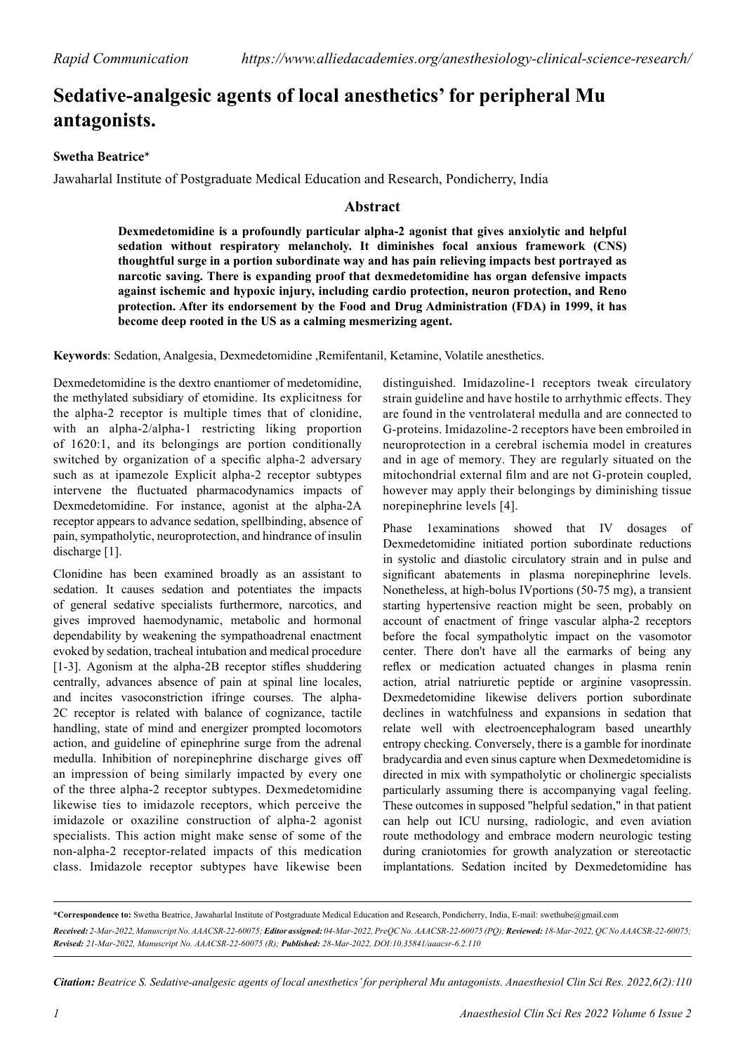## **Sedative-analgesic agents of local anesthetics' for peripheral Mu antagonists.**

## **Swetha Beatrice\***

Jawaharlal Institute of Postgraduate Medical Education and Research, Pondicherry, India

## **Abstract**

**Dexmedetomidine is a profoundly particular alpha-2 agonist that gives anxiolytic and helpful sedation without respiratory melancholy. It diminishes focal anxious framework (CNS) thoughtful surge in a portion subordinate way and has pain relieving impacts best portrayed as narcotic saving. There is expanding proof that dexmedetomidine has organ defensive impacts against ischemic and hypoxic injury, including cardio protection, neuron protection, and Reno protection. After its endorsement by the Food and Drug Administration (FDA) in 1999, it has become deep rooted in the US as a calming mesmerizing agent.**

**Keywords**: Sedation, Analgesia, Dexmedetomidine ,Remifentanil, Ketamine, Volatile anesthetics.

Dexmedetomidine is the dextro enantiomer of medetomidine, the methylated subsidiary of etomidine. Its explicitness for the alpha-2 receptor is multiple times that of clonidine, with an alpha-2/alpha-1 restricting liking proportion of 1620:1, and its belongings are portion conditionally switched by organization of a specific alpha-2 adversary such as at ipamezole Explicit alpha-2 receptor subtypes intervene the fluctuated pharmacodynamics impacts of Dexmedetomidine. For instance, agonist at the alpha-2A receptor appears to advance sedation, spellbinding, absence of pain, sympatholytic, neuroprotection, and hindrance of insulin discharge [1].

Clonidine has been examined broadly as an assistant to sedation. It causes sedation and potentiates the impacts of general sedative specialists furthermore, narcotics, and gives improved haemodynamic, metabolic and hormonal dependability by weakening the sympathoadrenal enactment evoked by sedation, tracheal intubation and medical procedure [1-3]. Agonism at the alpha-2B receptor stifles shuddering centrally, advances absence of pain at spinal line locales, and incites vasoconstriction ifringe courses. The alpha-2C receptor is related with balance of cognizance, tactile handling, state of mind and energizer prompted locomotors action, and guideline of epinephrine surge from the adrenal medulla. Inhibition of norepinephrine discharge gives off an impression of being similarly impacted by every one of the three alpha-2 receptor subtypes. Dexmedetomidine likewise ties to imidazole receptors, which perceive the imidazole or oxaziline construction of alpha-2 agonist specialists. This action might make sense of some of the non-alpha-2 receptor-related impacts of this medication class. Imidazole receptor subtypes have likewise been

distinguished. Imidazoline-1 receptors tweak circulatory strain guideline and have hostile to arrhythmic effects. They are found in the ventrolateral medulla and are connected to G-proteins. Imidazoline-2 receptors have been embroiled in neuroprotection in a cerebral ischemia model in creatures and in age of memory. They are regularly situated on the mitochondrial external film and are not G-protein coupled, however may apply their belongings by diminishing tissue norepinephrine levels [4].

Phase 1examinations showed that IV dosages of Dexmedetomidine initiated portion subordinate reductions in systolic and diastolic circulatory strain and in pulse and significant abatements in plasma norepinephrine levels. Nonetheless, at high-bolus IVportions (50-75 mg), a transient starting hypertensive reaction might be seen, probably on account of enactment of fringe vascular alpha-2 receptors before the focal sympatholytic impact on the vasomotor center. There don't have all the earmarks of being any reflex or medication actuated changes in plasma renin action, atrial natriuretic peptide or arginine vasopressin. Dexmedetomidine likewise delivers portion subordinate declines in watchfulness and expansions in sedation that relate well with electroencephalogram based unearthly entropy checking. Conversely, there is a gamble for inordinate bradycardia and even sinus capture when Dexmedetomidine is directed in mix with sympatholytic or cholinergic specialists particularly assuming there is accompanying vagal feeling. These outcomes in supposed "helpful sedation," in that patient can help out ICU nursing, radiologic, and even aviation route methodology and embrace modern neurologic testing during craniotomies for growth analyzation or stereotactic implantations. Sedation incited by Dexmedetomidine has

**\*Correspondence to:** Swetha Beatrice, Jawaharlal Institute of Postgraduate Medical Education and Research, Pondicherry, India, E-mail: swethube@gmail.com *Received: 2-Mar-2022, Manuscript No. AAACSR-22-60075; Editor assigned: 04-Mar-2022, PreQC No. AAACSR-22-60075 (PQ); Reviewed: 18-Mar-2022, QC No AAACSR-22-60075; Revised: 21-Mar-2022, Manuscript No. AAACSR-22-60075 (R); Published: 28-Mar-2022, DOI:10.35841/aaacsr-6.2.110*

*Citation: Beatrice S. Sedative-analgesic agents of local anesthetics' for peripheral Mu antagonists. Anaesthesiol Clin Sci Res. 2022,6(2):110*